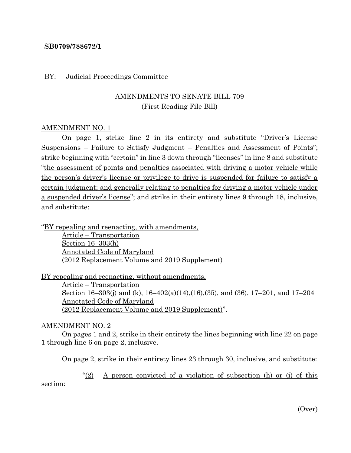### **SB0709/788672/1**

#### BY: Judicial Proceedings Committee

# AMENDMENTS TO SENATE BILL 709 (First Reading File Bill)

### AMENDMENT NO. 1

On page 1, strike line 2 in its entirety and substitute "Driver's License Suspensions – Failure to Satisfy Judgment – Penalties and Assessment of Points"; strike beginning with "certain" in line 3 down through "licenses" in line 8 and substitute "the assessment of points and penalties associated with driving a motor vehicle while the person's driver's license or privilege to drive is suspended for failure to satisfy a certain judgment; and generally relating to penalties for driving a motor vehicle under a suspended driver's license"; and strike in their entirety lines 9 through 18, inclusive, and substitute:

"BY repealing and reenacting, with amendments, Article – Transportation Section 16–303(h) Annotated Code of Maryland (2012 Replacement Volume and 2019 Supplement)

BY repealing and reenacting, without amendments, Article – Transportation Section 16–303(j) and (k), 16–402(a)(14),(16),(35), and (36), 17–201, and 17–204 Annotated Code of Maryland (2012 Replacement Volume and 2019 Supplement)".

#### AMENDMENT NO. 2

On pages 1 and 2, strike in their entirety the lines beginning with line 22 on page 1 through line 6 on page 2, inclusive.

On page 2, strike in their entirety lines 23 through 30, inclusive, and substitute:

"(2) A person convicted of a violation of subsection (h) or (i) of this

section:

(Over)